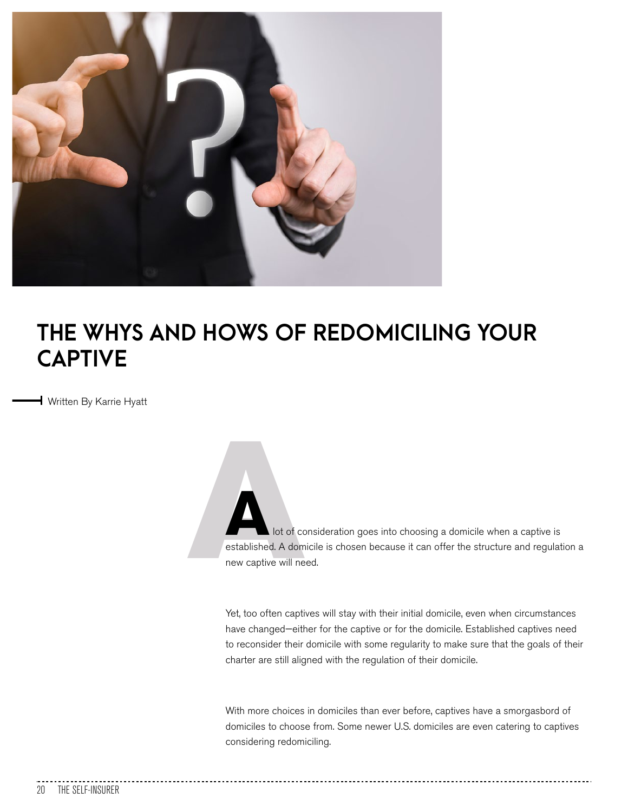

## **THE WHYS AND HOWS OF REDOMICILING YOUR CAPTIVE**

Written By Karrie Hyatt

of contract to the contract of contract to the contract of contract to the contract of contract to the contract of the contract of the contract of the contract of the contract of the contract of the contract of the contrac lot of consideration goes into choosing a domicile when a captive is established. A domicile is chosen because it can offer the structure and regulation a new captive will need.

Yet, too often captives will stay with their initial domicile, even when circumstances have changed—either for the captive or for the domicile. Established captives need to reconsider their domicile with some regularity to make sure that the goals of their charter are still aligned with the regulation of their domicile.

With more choices in domiciles than ever before, captives have a smorgasbord of domiciles to choose from. Some newer U.S. domiciles are even catering to captives considering redomiciling.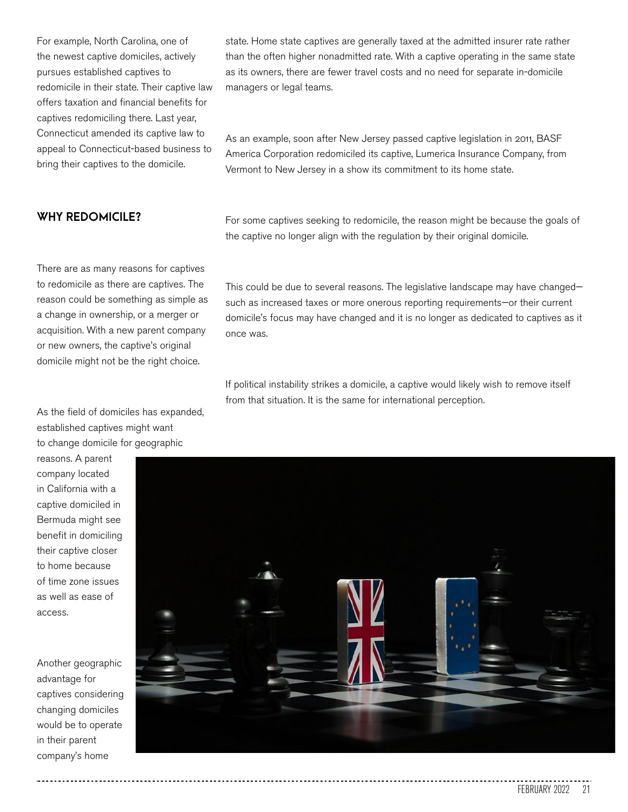For example, North Carolina, one of the newest captive domiciles, actively pursues established captives to redomicile in their state. Their captive law offers taxation and financial benefits for captives redomiciling there. Last year, Connecticut amended its captive law to appeal to Connecticut-based business to bring their captives to the domicile.

## **WHY REDOMICILE?**

state. Home state captives are generally taxed at the admitted insurer rate rather than the often higher nonadmitted rate. With a captive operating in the same state as its owners, there are fewer travel costs and no need for separate in-domicile managers or legal teams.

As an example, soon after New Jersey passed captive legislation in 2011, BASF America Corporation redomiciled its captive, Lumerica Insurance Company, from Vermont to New Jersey in a show its commitment to its home state.

For some captives seeking to redomicile, the reason might be because the goals of the captive no longer align with the regulation by their original domicile.

There are as many reasons for captives to redomicile as there are captives. The reason could be something as simple as a change in ownership, or a merger or acquisition. With a new parent company or new owners, the captive's original domicile might not be the right choice.

As the field of domiciles has expanded, established captives might want to change domicile for geographic

reasons. A parent company located in California with a captive domiciled in Bermuda might see benefit in domiciling their captive closer to home because of time zone issues as well as ease of access.

Another geographic advantage for captives considering changing domiciles would be to operate in their parent company's home

This could be due to several reasons. The legislative landscape may have changed such as increased taxes or more onerous reporting requirements—or their current domicile's focus may have changed and it is no longer as dedicated to captives as it once was.

If political instability strikes a domicile, a captive would likely wish to remove itself from that situation. It is the same for international perception.

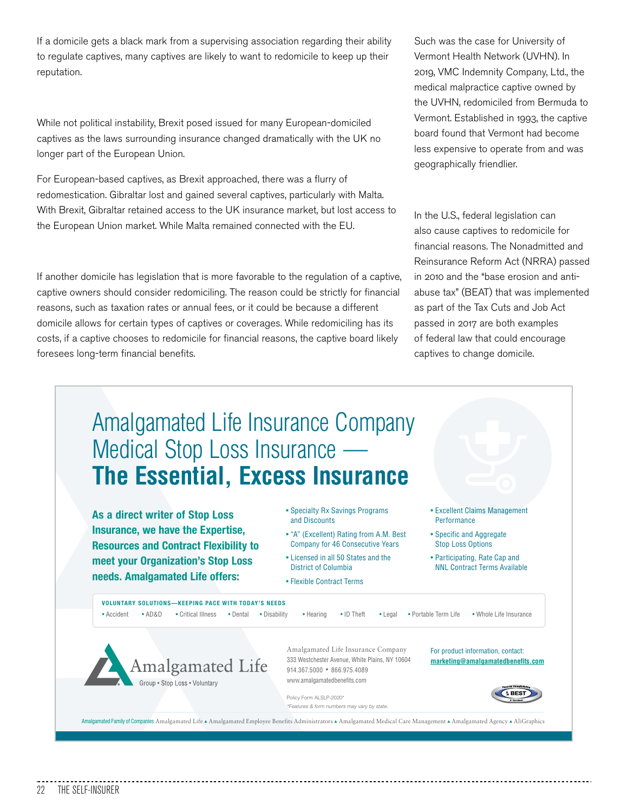If a domicile gets a black mark from a supervising association regarding their ability to regulate captives, many captives are likely to want to redomicile to keep up their reputation.

While not political instability, Brexit posed issued for many European-domiciled captives as the laws surrounding insurance changed dramatically with the UK no longer part of the European Union.

For European-based captives, as Brexit approached, there was a flurry of redomestication. Gibraltar lost and gained several captives, particularly with Malta. With Brexit, Gibraltar retained access to the UK insurance market, but lost access to the European Union market. While Malta remained connected with the EU.

If another domicile has legislation that is more favorable to the regulation of a captive, captive owners should consider redomiciling. The reason could be strictly for financial reasons, such as taxation rates or annual fees, or it could be because a different domicile allows for certain types of captives or coverages. While redomiciling has its costs, if a captive chooses to redomicile for financial reasons, the captive board likely foresees long-term financial benefits.

Such was the case for University of Vermont Health Network (UVHN). In 2019, VMC Indemnity Company, Ltd., the medical malpractice captive owned by the UVHN, redomiciled from Bermuda to Vermont. Established in 1993, the captive board found that Vermont had become less expensive to operate from and was geographically friendlier.

In the U.S., federal legislation can also cause captives to redomicile for financial reasons. The Nonadmitted and Reinsurance Reform Act (NRRA) passed in 2010 and the "base erosion and antiabuse tax" (BEAT) that was implemented as part of the Tax Cuts and Job Act passed in 2017 are both examples of federal law that could encourage captives to change domicile.

## Amalgamated Life Insurance Company Medical Stop Loss Insurance — **The Essential, Excess Insurance**

**As a direct writer of Stop Loss Insurance, we have the Expertise, Resources and Contract Flexibility to meet your Organization's Stop Loss needs. Amalgamated Life offers:**

• Specialty Rx Savings Programs and Discounts

- "A" (Excellent) Rating from A.M. Best Company for 46 Consecutive Years
- Licensed in all 50 States and the District of Columbia
- Flexible Contract Terms
- Excellent Claims Management Performance
- Specific and Aggregate Stop Loss Options

• Participating, Rate Cap and NNL Contract Terms Available

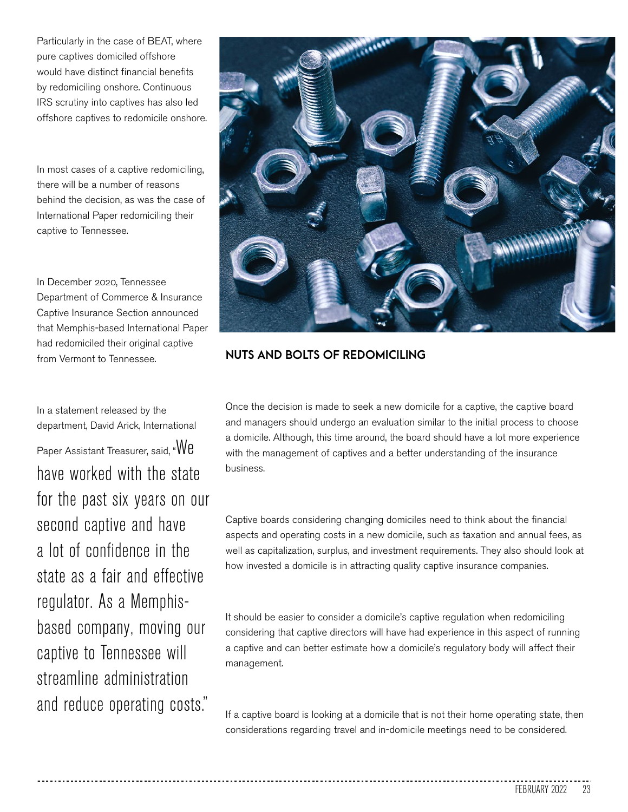Particularly in the case of BEAT, where pure captives domiciled offshore would have distinct financial benefits by redomiciling onshore. Continuous IRS scrutiny into captives has also led offshore captives to redomicile onshore.

In most cases of a captive redomiciling, there will be a number of reasons behind the decision, as was the case of International Paper redomiciling their captive to Tennessee.

In December 2020, Tennessee Department of Commerce & Insurance Captive Insurance Section announced that Memphis-based International Paper had redomiciled their original captive from Vermont to Tennessee.

In a statement released by the department, David Arick, International

Paper Assistant Treasurer, said, "We have worked with the state for the past six years on our second captive and have a lot of confidence in the state as a fair and effective regulator. As a Memphisbased company, moving our captive to Tennessee will streamline administration and reduce operating costs."



## **NUTS AND BOLTS OF REDOMICILING**

Once the decision is made to seek a new domicile for a captive, the captive board and managers should undergo an evaluation similar to the initial process to choose a domicile. Although, this time around, the board should have a lot more experience with the management of captives and a better understanding of the insurance business.

Captive boards considering changing domiciles need to think about the financial aspects and operating costs in a new domicile, such as taxation and annual fees, as well as capitalization, surplus, and investment requirements. They also should look at how invested a domicile is in attracting quality captive insurance companies.

It should be easier to consider a domicile's captive regulation when redomiciling considering that captive directors will have had experience in this aspect of running a captive and can better estimate how a domicile's regulatory body will affect their management.

If a captive board is looking at a domicile that is not their home operating state, then considerations regarding travel and in-domicile meetings need to be considered.